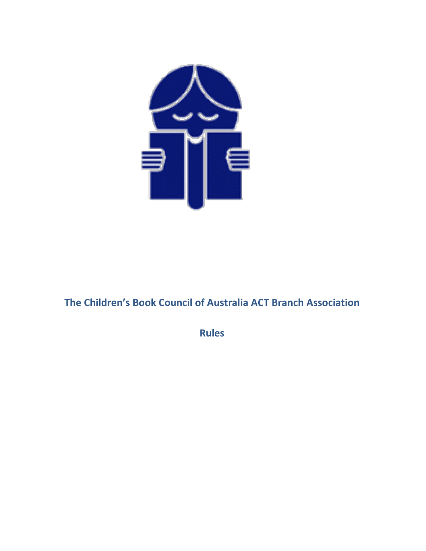

# **The Children's Book Council of Australia ACT Branch Association**

**Rules**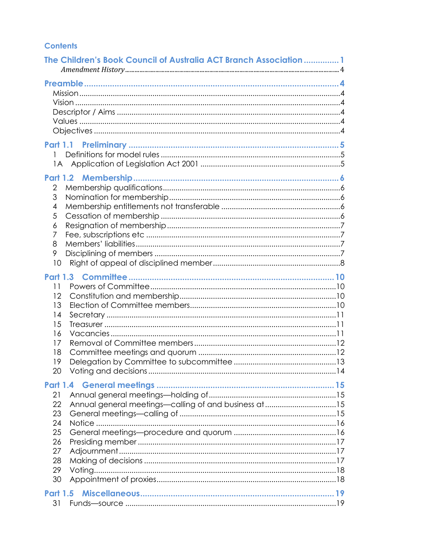# **Contents**

| The Children's Book Council of Australia ACT Branch Association 1                                                 |  |
|-------------------------------------------------------------------------------------------------------------------|--|
|                                                                                                                   |  |
|                                                                                                                   |  |
| 2<br>3<br>4<br>5<br>6<br>7<br>8<br>9<br>10                                                                        |  |
| 11<br>12<br>13<br>14<br>15<br>16<br>17<br>18<br>19<br>20                                                          |  |
| 21<br>Annual general meetings-calling of and business at 15<br>22<br>23<br>24<br>25<br>26<br>27<br>28<br>29<br>30 |  |
| <b>Part 1.5</b><br>31                                                                                             |  |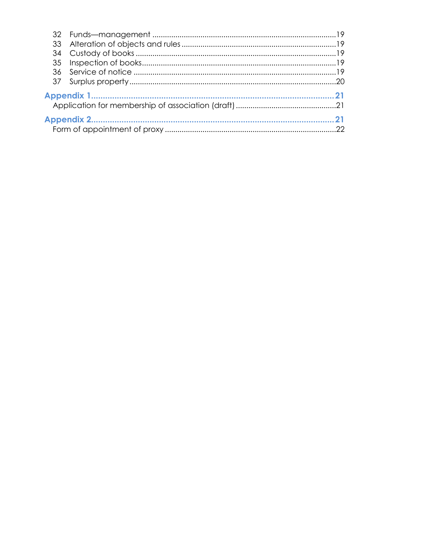| 33 |  |  |  |
|----|--|--|--|
| 34 |  |  |  |
| 35 |  |  |  |
| 36 |  |  |  |
| 37 |  |  |  |
|    |  |  |  |
|    |  |  |  |
|    |  |  |  |
|    |  |  |  |
|    |  |  |  |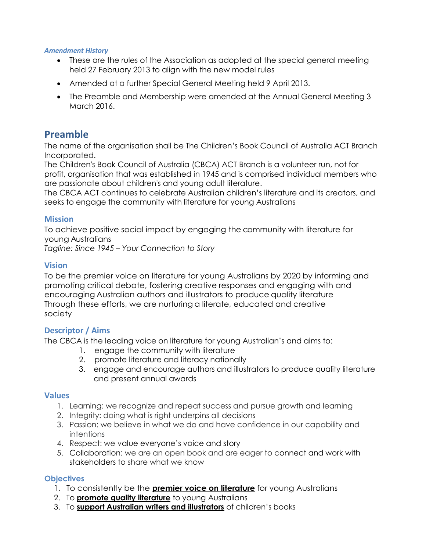#### *Amendment History*

- These are the rules of the Association as adopted at the special general meeting held 27 February 2013 to align with the new model rules
- Amended at a further Special General Meeting held 9 April 2013.
- The Preamble and Membership were amended at the Annual General Meeting 3 March 2016.

# **Preamble**

The name of the organisation shall be The Children's Book Council of Australia ACT Branch Incorporated.

The Children's Book Council of Australia (CBCA) ACT Branch is a volunteer run, not for profit, organisation that was established in 1945 and is comprised individual members who are passionate about children's and young adult literature.

The CBCA ACT continues to celebrate Australian children's literature and its creators, and seeks to engage the community with literature for young Australians

# **Mission**

To achieve positive social impact by engaging the community with literature for young Australians

*Tagline: Since 1945 – Your Connection to Story*

# **Vision**

To be the premier voice on literature for young Australians by 2020 by informing and promoting critical debate, fostering creative responses and engaging with and encouraging Australian authors and illustrators to produce quality literature Through these efforts, we are nurturing a literate, educated and creative society

# **Descriptor / Aims**

The CBCA is the leading voice on literature for young Australian's and aims to:

- 1. engage the community with literature
- 2. promote literature and literacy nationally
- 3. engage and encourage authors and illustrators to produce quality literature and present annual awards

### **Values**

- 1. Learning: we recognize and repeat success and pursue growth and learning
- 2. Integrity: doing what is right underpins all decisions
- 3. Passion: we believe in what we do and have confidence in our capability and intentions
- 4. Respect: we value everyone's voice and story
- 5. Collaboration: we are an open book and are eager to connect and work with stakeholders to share what we know

# **Objectives**

- 1. To consistently be the **premier voice on literature** for young Australians
- 2. To **promote quality literature** to young Australians
- 3. To **support Australian writers and illustrators** of children's books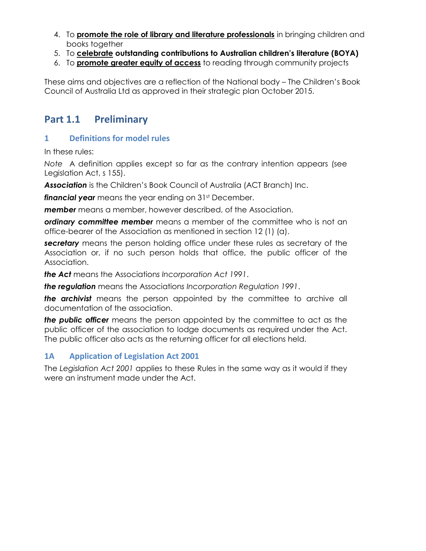- 4. To **promote the role of library and literature professionals** in bringing children and books together
- 5. To **celebrate outstanding contributions to Australian children's literature (BOYA)**
- 6. To **promote greater equity of access** to reading through community projects

These aims and objectives are a reflection of the National body – The Children's Book Council of Australia Ltd as approved in their strategic plan October 2015.

# **Part 1.1 Preliminary**

# **1 Definitions for model rules**

In these rules:

*Note* A definition applies except so far as the contrary intention appears (see Legislation Act, s 155).

*Association* is the Children's Book Council of Australia (ACT Branch) Inc.

**financial year** means the year ending on 31<sup>st</sup> December.

*member* means a member, however described, of the Association.

*ordinary committee member* means a member of the committee who is not an office-bearer of the Association as mentioned in section 12 (1) (a).

*secretary* means the person holding office under these rules as secretary of the Association or, if no such person holds that office, the public officer of the Association.

*the Act* means the Association*s Incorporation Act 1991*.

*the regulation* means the Association*s Incorporation Regulation 1991*.

*the archivist* means the person appointed by the committee to archive all documentation of the association.

*the public officer* means the person appointed by the committee to act as the public officer of the association to lodge documents as required under the Act. The public officer also acts as the returning officer for all elections held.

# **1A Application of Legislation Act 2001**

The *Legislation Act 2001* applies to these Rules in the same way as it would if they were an instrument made under the Act.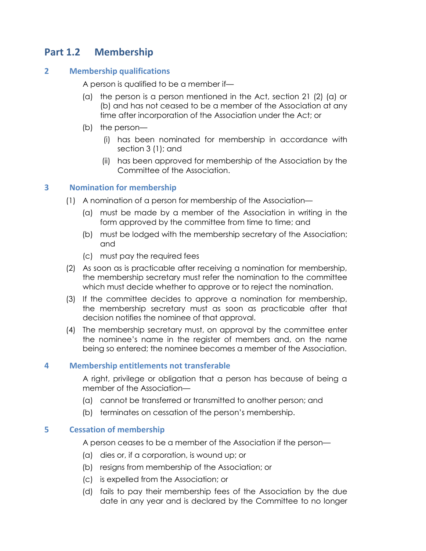# **Part 1.2 Membership**

# **2 Membership qualifications**

A person is qualified to be a member if—

- (a) the person is a person mentioned in the Act, section 21 (2) (a) or (b) and has not ceased to be a member of the Association at any time after incorporation of the Association under the Act; or
- (b) the person—
	- (i) has been nominated for membership in accordance with section 3 (1); and
	- (ii) has been approved for membership of the Association by the Committee of the Association.

# **3 Nomination for membership**

- (1) A nomination of a person for membership of the Association—
	- (a) must be made by a member of the Association in writing in the form approved by the committee from time to time; and
	- (b) must be lodged with the membership secretary of the Association; and
	- (c) must pay the required fees
- (2) As soon as is practicable after receiving a nomination for membership, the membership secretary must refer the nomination to the committee which must decide whether to approve or to reject the nomination.
- (3) If the committee decides to approve a nomination for membership, the membership secretary must as soon as practicable after that decision notifies the nominee of that approval.
- (4) The membership secretary must, on approval by the committee enter the nominee's name in the register of members and, on the name being so entered; the nominee becomes a member of the Association.

### **4 Membership entitlements not transferable**

A right, privilege or obligation that a person has because of being a member of the Association—

- (a) cannot be transferred or transmitted to another person; and
- (b) terminates on cessation of the person's membership.

### **5 Cessation of membership**

A person ceases to be a member of the Association if the person—

- (a) dies or, if a corporation, is wound up; or
- (b) resigns from membership of the Association; or
- (c) is expelled from the Association; or
- (d) fails to pay their membership fees of the Association by the due date in any year and is declared by the Committee to no longer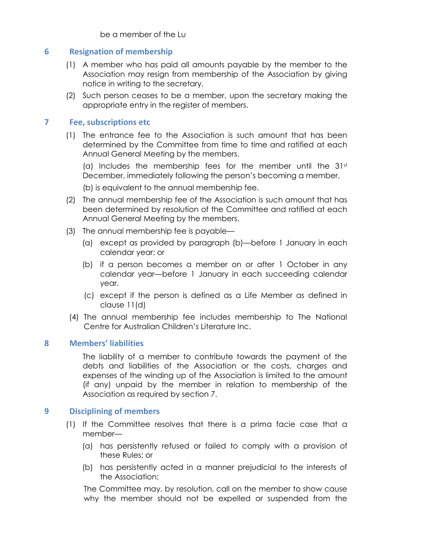be a member of the Lu

# **6 Resignation of membership**

- (1) A member who has paid all amounts payable by the member to the Association may resign from membership of the Association by giving notice in writing to the secretary.
- (2) Such person ceases to be a member, upon the secretary making the appropriate entry in the register of members.

# **7 Fee, subscriptions etc**

(1) The entrance fee to the Association is such amount that has been determined by the Committee from time to time and ratified at each Annual General Meeting by the members.

(a) Includes the membership fees for the member until the  $31<sup>st</sup>$ December, immediately following the person's becoming a member.

(b) is equivalent to the annual membership fee.

- (2) The annual membership fee of the Association is such amount that has been determined by resolution of the Committee and ratified at each Annual General Meeting by the members.
- (3) The annual membership fee is payable—
	- (a) except as provided by paragraph (b)—before 1 January in each calendar year; or
	- (b) if a person becomes a member on or after 1 October in any calendar year—before 1 January in each succeeding calendar year.
	- (c) except if the person is defined as a Life Member as defined in clause 11(d)
- (4) The annual membership fee includes membership to The National Centre for Australian Children's Literature Inc.

### **8 Members' liabilities**

The liability of a member to contribute towards the payment of the debts and liabilities of the Association or the costs, charges and expenses of the winding up of the Association is limited to the amount (if any) unpaid by the member in relation to membership of the Association as required by section 7.

### **9 Disciplining of members**

- (1) If the Committee resolves that there is a prima facie case that a member—
	- (a) has persistently refused or failed to comply with a provision of these Rules; or
	- (b) has persistently acted in a manner prejudicial to the interests of the Association;

The Committee may, by resolution, call on the member to show cause why the member should not be expelled or suspended from the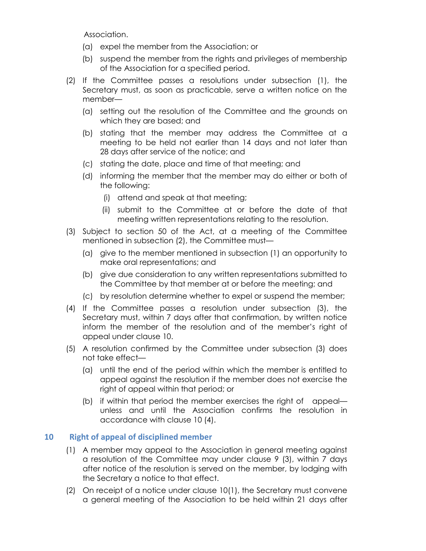Association.

- (a) expel the member from the Association; or
- (b) suspend the member from the rights and privileges of membership of the Association for a specified period.
- (2) If the Committee passes a resolutions under subsection (1), the Secretary must, as soon as practicable, serve a written notice on the member—
	- (a) setting out the resolution of the Committee and the grounds on which they are based; and
	- (b) stating that the member may address the Committee at a meeting to be held not earlier than 14 days and not later than 28 days after service of the notice; and
	- (c) stating the date, place and time of that meeting; and
	- (d) informing the member that the member may do either or both of the following:
		- (i) attend and speak at that meeting;
		- (ii) submit to the Committee at or before the date of that meeting written representations relating to the resolution.
- (3) Subject to section 50 of the Act, at a meeting of the Committee mentioned in subsection (2), the Committee must—
	- (a) give to the member mentioned in subsection (1) an opportunity to make oral representations; and
	- (b) give due consideration to any written representations submitted to the Committee by that member at or before the meeting; and
	- (c) by resolution determine whether to expel or suspend the member;
- (4) If the Committee passes a resolution under subsection (3), the Secretary must, within 7 days after that confirmation, by written notice inform the member of the resolution and of the member's right of appeal under clause 10.
- (5) A resolution confirmed by the Committee under subsection (3) does not take effect—
	- (a) until the end of the period within which the member is entitled to appeal against the resolution if the member does not exercise the right of appeal within that period; or
	- (b) if within that period the member exercises the right of appeal unless and until the Association confirms the resolution in accordance with clause 10 (4).

# **10 Right of appeal of disciplined member**

- (1) A member may appeal to the Association in general meeting against a resolution of the Committee may under clause 9 (3), within 7 days after notice of the resolution is served on the member, by lodging with the Secretary a notice to that effect.
- (2) On receipt of a notice under clause 10(1), the Secretary must convene a general meeting of the Association to be held within 21 days after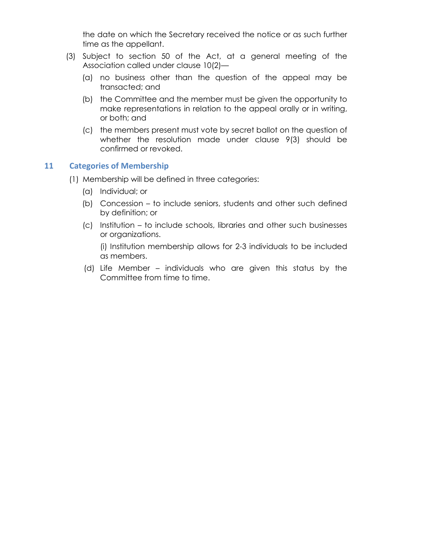the date on which the Secretary received the notice or as such further time as the appellant.

- (3) Subject to section 50 of the Act, at a general meeting of the Association called under clause 10(2)—
	- (a) no business other than the question of the appeal may be transacted; and
	- (b) the Committee and the member must be given the opportunity to make representations in relation to the appeal orally or in writing, or both; and
	- (c) the members present must vote by secret ballot on the question of whether the resolution made under clause 9(3) should be confirmed or revoked.

### **11 Categories of Membership**

- (1) Membership will be defined in three categories:
	- (a) Individual; or
	- (b) Concession to include seniors, students and other such defined by definition; or
	- (c) Institution to include schools, libraries and other such businesses or organizations.

(i) Institution membership allows for 2-3 individuals to be included as members.

(d) Life Member – individuals who are given this status by the Committee from time to time.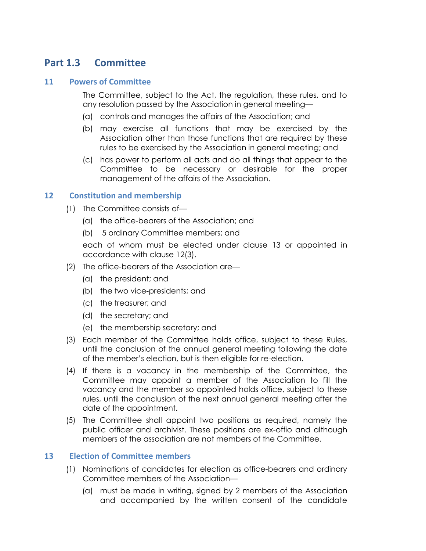# **Part 1.3 Committee**

### **11 Powers of Committee**

The Committee, subject to the Act, the regulation, these rules, and to any resolution passed by the Association in general meeting—

- (a) controls and manages the affairs of the Association; and
- (b) may exercise all functions that may be exercised by the Association other than those functions that are required by these rules to be exercised by the Association in general meeting; and
- (c) has power to perform all acts and do all things that appear to the Committee to be necessary or desirable for the proper management of the affairs of the Association.

### **12 Constitution and membership**

- (1) The Committee consists of—
	- (a) the office-bearers of the Association; and
	- (b) 5 ordinary Committee members; and

each of whom must be elected under clause 13 or appointed in accordance with clause 12(3).

- (2) The office-bearers of the Association are—
	- (a) the president; and
	- (b) the two vice-presidents; and
	- (c) the treasurer; and
	- (d) the secretary; and
	- (e) the membership secretary; and
- (3) Each member of the Committee holds office, subject to these Rules, until the conclusion of the annual general meeting following the date of the member's election, but is then eligible for re-election.
- (4) If there is a vacancy in the membership of the Committee, the Committee may appoint a member of the Association to fill the vacancy and the member so appointed holds office, subject to these rules, until the conclusion of the next annual general meeting after the date of the appointment.
- (5) The Committee shall appoint two positions as required, namely the public officer and archivist. These positions are ex-offio and although members of the association are not members of the Committee.

### **13 Election of Committee members**

- (1) Nominations of candidates for election as office-bearers and ordinary Committee members of the Association—
	- (a) must be made in writing, signed by 2 members of the Association and accompanied by the written consent of the candidate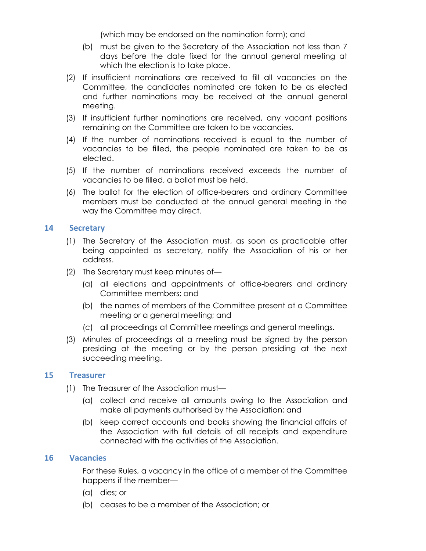(which may be endorsed on the nomination form); and

- (b) must be given to the Secretary of the Association not less than 7 days before the date fixed for the annual general meeting at which the election is to take place.
- (2) If insufficient nominations are received to fill all vacancies on the Committee, the candidates nominated are taken to be as elected and further nominations may be received at the annual general meeting.
- (3) If insufficient further nominations are received, any vacant positions remaining on the Committee are taken to be vacancies.
- (4) If the number of nominations received is equal to the number of vacancies to be filled, the people nominated are taken to be as elected.
- (5) If the number of nominations received exceeds the number of vacancies to be filled, a ballot must be held.
- (6) The ballot for the election of office-bearers and ordinary Committee members must be conducted at the annual general meeting in the way the Committee may direct.

# **14 Secretary**

- (1) The Secretary of the Association must, as soon as practicable after being appointed as secretary, notify the Association of his or her address.
- (2) The Secretary must keep minutes of—
	- (a) all elections and appointments of office-bearers and ordinary Committee members; and
	- (b) the names of members of the Committee present at a Committee meeting or a general meeting; and
	- (c) all proceedings at Committee meetings and general meetings.
- (3) Minutes of proceedings at a meeting must be signed by the person presiding at the meeting or by the person presiding at the next succeeding meeting.

### **15 Treasurer**

- (1) The Treasurer of the Association must—
	- (a) collect and receive all amounts owing to the Association and make all payments authorised by the Association; and
	- (b) keep correct accounts and books showing the financial affairs of the Association with full details of all receipts and expenditure connected with the activities of the Association.

#### **16 Vacancies**

For these Rules, a vacancy in the office of a member of the Committee happens if the member—

- (a) dies; or
- (b) ceases to be a member of the Association; or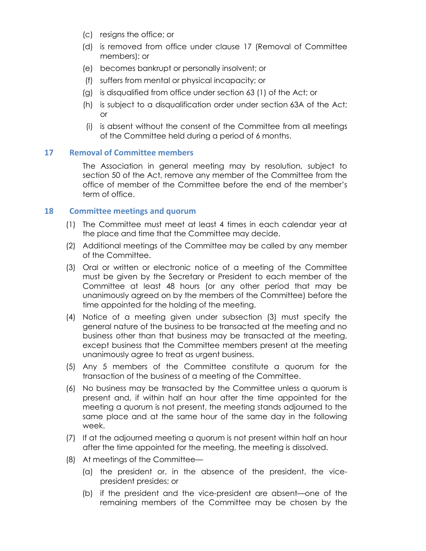- (c) resigns the office; or
- (d) is removed from office under clause 17 (Removal of Committee members); or
- (e) becomes bankrupt or personally insolvent; or
- (f) suffers from mental or physical incapacity; or
- (g) is disqualified from office under section 63 (1) of the Act; or
- (h) is subject to a disqualification order under section 63A of the Act; or
- (i) is absent without the consent of the Committee from all meetings of the Committee held during a period of 6 months.

# **17 Removal of Committee members**

The Association in general meeting may by resolution, subject to section 50 of the Act, remove any member of the Committee from the office of member of the Committee before the end of the member's term of office.

### **18 Committee meetings and quorum**

- (1) The Committee must meet at least 4 times in each calendar year at the place and time that the Committee may decide.
- (2) Additional meetings of the Committee may be called by any member of the Committee.
- (3) Oral or written or electronic notice of a meeting of the Committee must be given by the Secretary or President to each member of the Committee at least 48 hours (or any other period that may be unanimously agreed on by the members of the Committee) before the time appointed for the holding of the meeting.
- (4) Notice of a meeting given under subsection (3) must specify the general nature of the business to be transacted at the meeting and no business other than that business may be transacted at the meeting, except business that the Committee members present at the meeting unanimously agree to treat as urgent business.
- (5) Any 5 members of the Committee constitute a quorum for the transaction of the business of a meeting of the Committee.
- (6) No business may be transacted by the Committee unless a quorum is present and, if within half an hour after the time appointed for the meeting a quorum is not present, the meeting stands adjourned to the same place and at the same hour of the same day in the following week.
- (7) If at the adjourned meeting a quorum is not present within half an hour after the time appointed for the meeting, the meeting is dissolved.
- (8) At meetings of the Committee—
	- (a) the president or, in the absence of the president, the vicepresident presides; or
	- (b) if the president and the vice-president are absent—one of the remaining members of the Committee may be chosen by the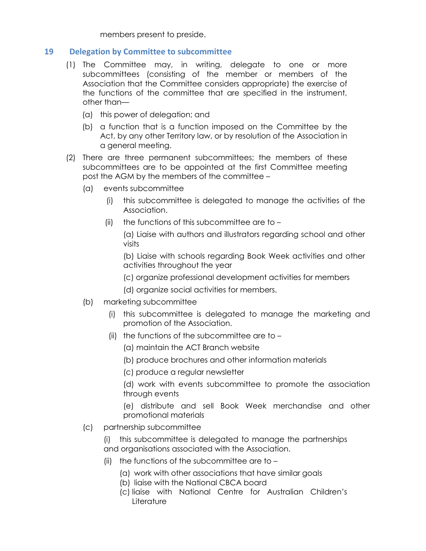members present to preside.

# **19 Delegation by Committee to subcommittee**

- (1) The Committee may, in writing, delegate to one or more subcommittees (consisting of the member or members of the Association that the Committee considers appropriate) the exercise of the functions of the committee that are specified in the instrument, other than—
	- (a) this power of delegation; and
	- (b) a function that is a function imposed on the Committee by the Act, by any other Territory law, or by resolution of the Association in a general meeting.
- (2) There are three permanent subcommittees; the members of these subcommittees are to be appointed at the first Committee meeting post the AGM by the members of the committee –
	- (a) events subcommittee
		- (i) this subcommittee is delegated to manage the activities of the Association.
		- (ii) the functions of this subcommittee are to  $-$

(a) Liaise with authors and illustrators regarding school and other visits

(b) Liaise with schools regarding Book Week activities and other activities throughout the year

- (c) organize professional development activities for members
- (d) organize social activities for members.
- (b) marketing subcommittee
	- (i) this subcommittee is delegated to manage the marketing and promotion of the Association.
	- (ii) the functions of the subcommittee are to  $-$ 
		- (a) maintain the ACT Branch website
		- (b) produce brochures and other information materials
		- (c) produce a regular newsletter

(d) work with events subcommittee to promote the association through events

(e) distribute and sell Book Week merchandise and other promotional materials

(c) partnership subcommittee

(i) this subcommittee is delegated to manage the partnerships and organisations associated with the Association.

- (ii) the functions of the subcommittee are to
	- (a) work with other associations that have similar goals
	- (b) liaise with the National CBCA board
	- (c) liaise with National Centre for Australian Children's **Literature**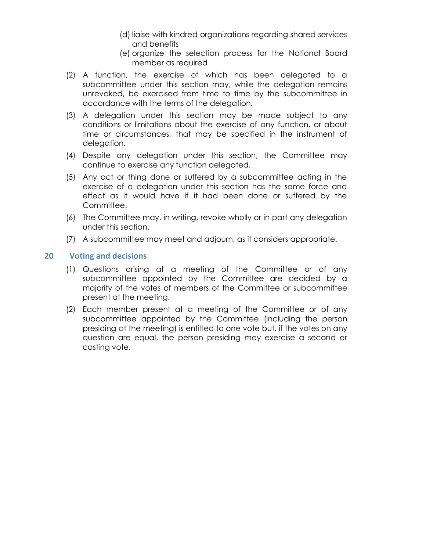- (d) liaise with kindred organizations regarding shared services and benefits
- (e) organize the selection process for the National Board member as required
- (2) A function, the exercise of which has been delegated to a subcommittee under this section may, while the delegation remains unrevoked, be exercised from time to time by the subcommittee in accordance with the terms of the delegation.
- (3) A delegation under this section may be made subject to any conditions or limitations about the exercise of any function, or about time or circumstances, that may be specified in the instrument of delegation.
- (4) Despite any delegation under this section, the Committee may continue to exercise any function delegated.
- (5) Any act or thing done or suffered by a subcommittee acting in the exercise of a delegation under this section has the same force and effect as it would have if it had been done or suffered by the Committee.
- (6) The Committee may, in writing, revoke wholly or in part any delegation under this section.
- (7) A subcommittee may meet and adjourn, as it considers appropriate.

# **20 Voting and decisions**

- (1) Questions arising at a meeting of the Committee or of any subcommittee appointed by the Committee are decided by a majority of the votes of members of the Committee or subcommittee present at the meeting.
- (2) Each member present at a meeting of the Committee or of any subcommittee appointed by the Committee (including the person presiding at the meeting) is entitled to one vote but, if the votes on any question are equal, the person presiding may exercise a second or casting vote.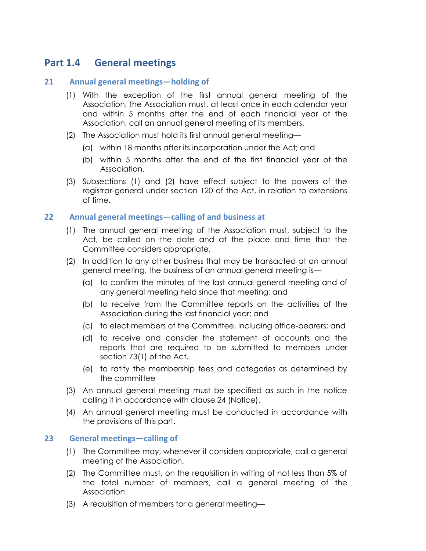# **Part 1.4 General meetings**

# **21 Annual general meetings—holding of**

- (1) With the exception of the first annual general meeting of the Association, the Association must, at least once in each calendar year and within 5 months after the end of each financial year of the Association, call an annual general meeting of its members.
- (2) The Association must hold its first annual general meeting—
	- (a) within 18 months after its incorporation under the Act; and
	- (b) within 5 months after the end of the first financial year of the Association.
- (3) Subsections (1) and (2) have effect subject to the powers of the registrar-general under section 120 of the Act, in relation to extensions of time.

### **22 Annual general meetings—calling of and business at**

- (1) The annual general meeting of the Association must, subject to the Act, be called on the date and at the place and time that the Committee considers appropriate.
- (2) In addition to any other business that may be transacted at an annual general meeting, the business of an annual general meeting is—
	- (a) to confirm the minutes of the last annual general meeting and of any general meeting held since that meeting; and
	- (b) to receive from the Committee reports on the activities of the Association during the last financial year; and
	- (c) to elect members of the Committee, including office-bearers; and
	- (d) to receive and consider the statement of accounts and the reports that are required to be submitted to members under section 73(1) of the Act.
	- (e) to ratify the membership fees and categories as determined by the committee
- (3) An annual general meeting must be specified as such in the notice calling it in accordance with clause 24 (Notice).
- (4) An annual general meeting must be conducted in accordance with the provisions of this part.

### **23 General meetings—calling of**

- (1) The Committee may, whenever it considers appropriate, call a general meeting of the Association.
- (2) The Committee must, on the requisition in writing of not less than 5% of the total number of members, call a general meeting of the Association.
- (3) A requisition of members for a general meeting—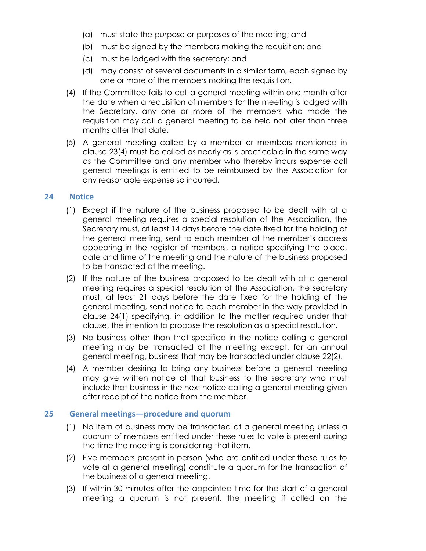- (a) must state the purpose or purposes of the meeting; and
- (b) must be signed by the members making the requisition; and
- (c) must be lodged with the secretary; and
- (d) may consist of several documents in a similar form, each signed by one or more of the members making the requisition.
- (4) If the Committee fails to call a general meeting within one month after the date when a requisition of members for the meeting is lodged with the Secretary, any one or more of the members who made the requisition may call a general meeting to be held not later than three months after that date.
- (5) A general meeting called by a member or members mentioned in clause 23(4) must be called as nearly as is practicable in the same way as the Committee and any member who thereby incurs expense call general meetings is entitled to be reimbursed by the Association for any reasonable expense so incurred.

# **24 Notice**

- (1) Except if the nature of the business proposed to be dealt with at a general meeting requires a special resolution of the Association, the Secretary must, at least 14 days before the date fixed for the holding of the general meeting, sent to each member at the member's address appearing in the register of members, a notice specifying the place, date and time of the meeting and the nature of the business proposed to be transacted at the meeting.
- (2) If the nature of the business proposed to be dealt with at a general meeting requires a special resolution of the Association, the secretary must, at least 21 days before the date fixed for the holding of the general meeting, send notice to each member in the way provided in clause 24(1) specifying, in addition to the matter required under that clause, the intention to propose the resolution as a special resolution.
- (3) No business other than that specified in the notice calling a general meeting may be transacted at the meeting except, for an annual general meeting, business that may be transacted under clause 22(2).
- (4) A member desiring to bring any business before a general meeting may give written notice of that business to the secretary who must include that business in the next notice calling a general meeting given after receipt of the notice from the member.

### **25 General meetings—procedure and quorum**

- (1) No item of business may be transacted at a general meeting unless a quorum of members entitled under these rules to vote is present during the time the meeting is considering that item.
- (2) Five members present in person (who are entitled under these rules to vote at a general meeting) constitute a quorum for the transaction of the business of a general meeting.
- (3) If within 30 minutes after the appointed time for the start of a general meeting a quorum is not present, the meeting if called on the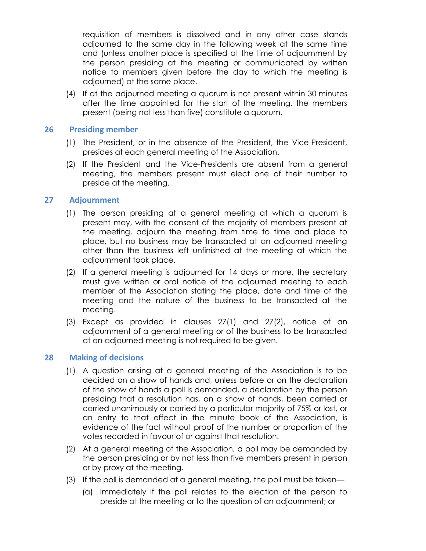requisition of members is dissolved and in any other case stands adjourned to the same day in the following week at the same time and (unless another place is specified at the time of adjournment by the person presiding at the meeting or communicated by written notice to members given before the day to which the meeting is adjourned) at the same place.

(4) If at the adjourned meeting a quorum is not present within 30 minutes after the time appointed for the start of the meeting, the members present (being not less than five) constitute a quorum.

#### **26 Presiding member**

- (1) The President, or in the absence of the President, the Vice-President, presides at each general meeting of the Association.
- (2) If the President and the Vice-Presidents are absent from a general meeting, the members present must elect one of their number to preside at the meeting.

### **27 Adjournment**

- (1) The person presiding at a general meeting at which a quorum is present may, with the consent of the majority of members present at the meeting, adjourn the meeting from time to time and place to place, but no business may be transacted at an adjourned meeting other than the business left unfinished at the meeting at which the adjournment took place.
- (2) If a general meeting is adjourned for 14 days or more, the secretary must give written or oral notice of the adjourned meeting to each member of the Association stating the place, date and time of the meeting and the nature of the business to be transacted at the meeting.
- (3) Except as provided in clauses 27(1) and 27(2), notice of an adjournment of a general meeting or of the business to be transacted at an adjourned meeting is not required to be given.

### **28 Making of decisions**

- (1) A question arising at a general meeting of the Association is to be decided on a show of hands and, unless before or on the declaration of the show of hands a poll is demanded, a declaration by the person presiding that a resolution has, on a show of hands, been carried or carried unanimously or carried by a particular majority of 75% or lost, or an entry to that effect in the minute book of the Association, is evidence of the fact without proof of the number or proportion of the votes recorded in favour of or against that resolution.
- (2) At a general meeting of the Association, a poll may be demanded by the person presiding or by not less than five members present in person or by proxy at the meeting.
- (3) If the poll is demanded at a general meeting, the poll must be taken—
	- (a) immediately if the poll relates to the election of the person to preside at the meeting or to the question of an adjournment; or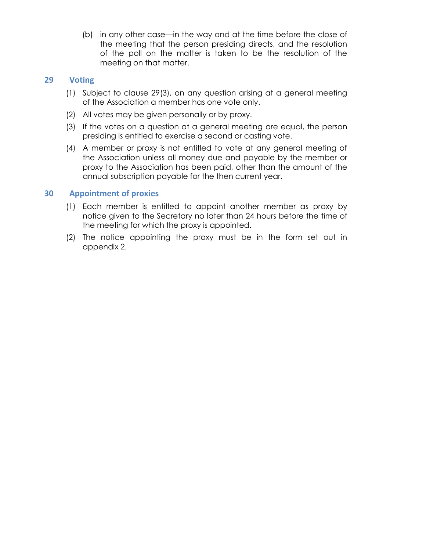(b) in any other case—in the way and at the time before the close of the meeting that the person presiding directs, and the resolution of the poll on the matter is taken to be the resolution of the meeting on that matter.

# **29 Voting**

- (1) Subject to clause 29(3), on any question arising at a general meeting of the Association a member has one vote only.
- (2) All votes may be given personally or by proxy.
- (3) If the votes on a question at a general meeting are equal, the person presiding is entitled to exercise a second or casting vote.
- (4) A member or proxy is not entitled to vote at any general meeting of the Association unless all money due and payable by the member or proxy to the Association has been paid, other than the amount of the annual subscription payable for the then current year.

# **30 Appointment of proxies**

- (1) Each member is entitled to appoint another member as proxy by notice given to the Secretary no later than 24 hours before the time of the meeting for which the proxy is appointed.
- (2) The notice appointing the proxy must be in the form set out in appendix 2.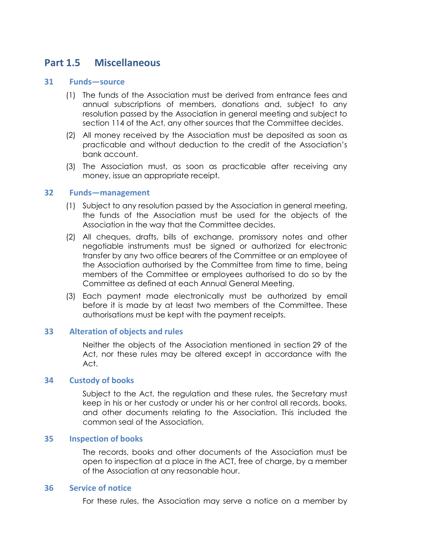# **Part 1.5 Miscellaneous**

#### **31 Funds—source**

- (1) The funds of the Association must be derived from entrance fees and annual subscriptions of members, donations and, subject to any resolution passed by the Association in general meeting and subject to section 114 of the Act, any other sources that the Committee decides.
- (2) All money received by the Association must be deposited as soon as practicable and without deduction to the credit of the Association's bank account.
- (3) The Association must, as soon as practicable after receiving any money, issue an appropriate receipt.

#### **32 Funds—management**

- (1) Subject to any resolution passed by the Association in general meeting, the funds of the Association must be used for the objects of the Association in the way that the Committee decides.
- (2) All cheques, drafts, bills of exchange, promissory notes and other negotiable instruments must be signed or authorized for electronic transfer by any two office bearers of the Committee or an employee of the Association authorised by the Committee from time to time, being members of the Committee or employees authorised to do so by the Committee as defined at each Annual General Meeting.
- (3) Each payment made electronically must be authorized by email before it is made by at least two members of the Committee. These authorisations must be kept with the payment receipts.

### **33 Alteration of objects and rules**

Neither the objects of the Association mentioned in section 29 of the Act, nor these rules may be altered except in accordance with the Act.

### **34 Custody of books**

Subject to the Act, the regulation and these rules, the Secretary must keep in his or her custody or under his or her control all records, books, and other documents relating to the Association. This included the common seal of the Association.

### **35 Inspection of books**

The records, books and other documents of the Association must be open to inspection at a place in the ACT, free of charge, by a member of the Association at any reasonable hour.

#### **36 Service of notice**

For these rules, the Association may serve a notice on a member by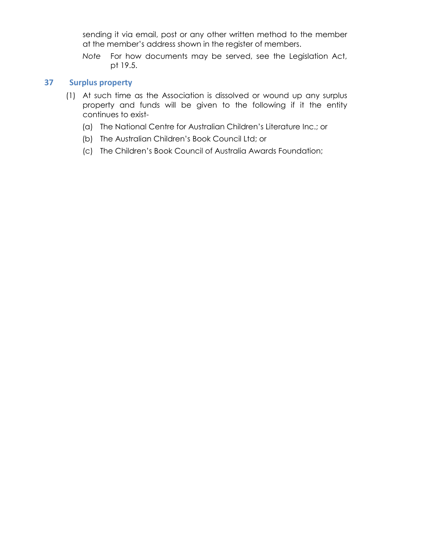sending it via email, post or any other written method to the member at the member's address shown in the register of members.

*Note* For how documents may be served, see the Legislation Act, pt 19.5.

# **37 Surplus property**

- (1) At such time as the Association is dissolved or wound up any surplus property and funds will be given to the following if it the entity continues to exist-
	- (a) The National Centre for Australian Children's Literature Inc.; or
	- (b) The Australian Children's Book Council Ltd; or
	- (c) The Children's Book Council of Australia Awards Foundation;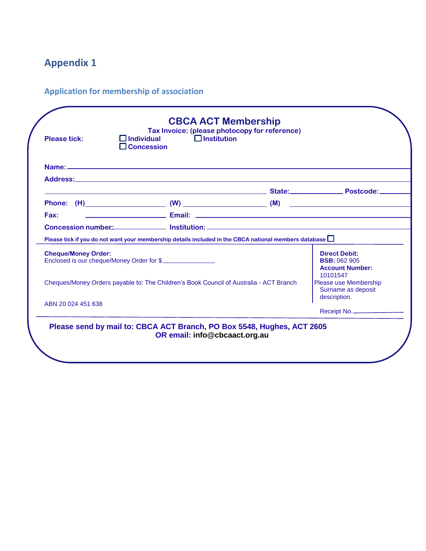# **Appendix 1**

**Application for membership of association**

| <b>Please tick:</b>                                                                    | $\Box$ Institution<br>$\Box$ Individual<br>$\square$ Concession                                              | Tax Invoice: (please photocopy for reference) |                                                                         |
|----------------------------------------------------------------------------------------|--------------------------------------------------------------------------------------------------------------|-----------------------------------------------|-------------------------------------------------------------------------|
|                                                                                        |                                                                                                              |                                               |                                                                         |
|                                                                                        |                                                                                                              |                                               |                                                                         |
|                                                                                        |                                                                                                              |                                               |                                                                         |
|                                                                                        |                                                                                                              |                                               |                                                                         |
| Fax:                                                                                   |                                                                                                              |                                               |                                                                         |
|                                                                                        |                                                                                                              |                                               |                                                                         |
|                                                                                        | Please tick if you do not want your membership details included in the CBCA national members database $\Box$ |                                               |                                                                         |
| <b>Cheque/Money Order:</b><br>Enclosed is our cheque/Money Order for \$                |                                                                                                              |                                               | <b>Direct Debit:</b><br><b>BSB: 062 905</b><br><b>Account Number:</b>   |
| Cheques/Money Orders payable to: The Children's Book Council of Australia - ACT Branch |                                                                                                              |                                               | 10101547<br>Please use Membership<br>Surname as deposit<br>description. |
| ABN 20 024 451 638                                                                     |                                                                                                              |                                               | Receipt No.                                                             |
|                                                                                        | Please send by mail to: CBCA ACT Branch, PO Box 5548, Hughes, ACT 2605                                       |                                               |                                                                         |